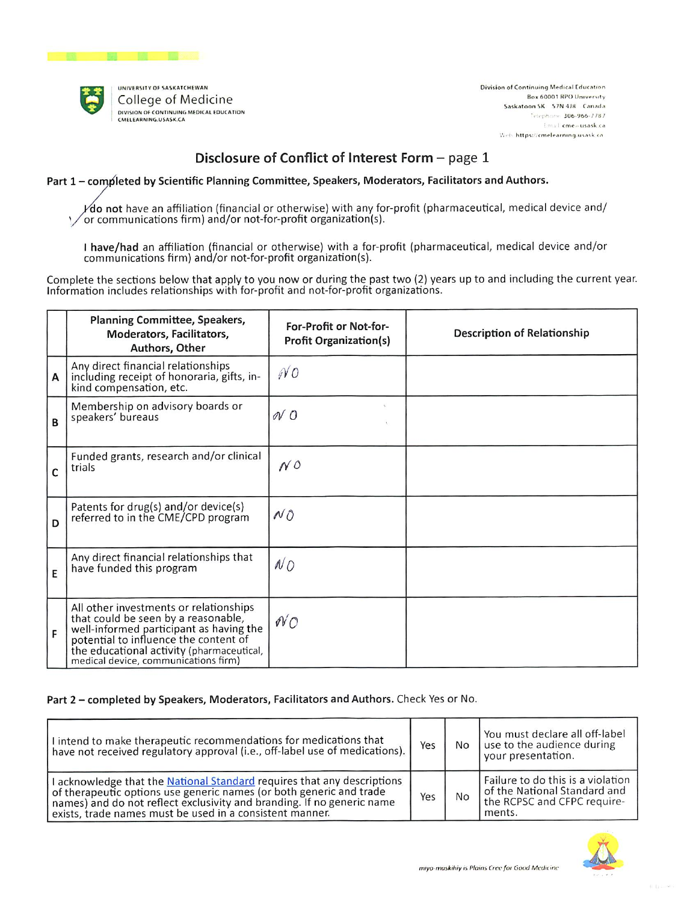

Division of Continuing Medical Education Box 60001 RPO University Saskatoon SK 57N 4J8 Canada Telephone 306-966-7787 final cmeausask ca Web: https://cmelearning.usask.ca

# Disclosure of Conflict of Interest Form - page 1

Part 1 - completed by Scientific Planning Committee, Speakers, Moderators, Facilitators and Authors.

 $\angle$ do not have an affiliation (financial or otherwise) with any for-profit (pharmaceutical, medical device and/ or communications firm) and/or not-for-profit organization(s).

I have/had an affiliation (financial or otherwise) with a for-profit (pharmaceutical, medical device and/or communications firm) and/or not-for-profit organization(s).

Complete the sections below that apply to you now or during the past two (2) years up to and including the current year. Information includes relationships with for-profit and not-for-profit organizations.

|   | <b>Planning Committee, Speakers,</b><br>Moderators, Facilitators,<br>Authors, Other                                                                                                                                                                    | For-Profit or Not-for-<br><b>Profit Organization(s)</b> | <b>Description of Relationship</b> |
|---|--------------------------------------------------------------------------------------------------------------------------------------------------------------------------------------------------------------------------------------------------------|---------------------------------------------------------|------------------------------------|
| A | Any direct financial relationships<br>including receipt of honoraria, gifts, in-<br>kind compensation, etc.                                                                                                                                            | NO                                                      |                                    |
| B | Membership on advisory boards or<br>speakers' bureaus                                                                                                                                                                                                  | NO                                                      |                                    |
| C | Funded grants, research and/or clinical<br>trials                                                                                                                                                                                                      | NQ                                                      |                                    |
| D | Patents for drug(s) and/or device(s)<br>referred to in the CME/CPD program                                                                                                                                                                             | NO                                                      |                                    |
| E | Any direct financial relationships that<br>have funded this program                                                                                                                                                                                    | NO                                                      |                                    |
| F | All other investments or relationships<br>that could be seen by a reasonable,<br>well-informed participant as having the<br>potential to influence the content of<br>the educational activity (pharmaceutical,<br>medical device, communications firm) | $\mathcal{N}$ O                                         |                                    |

## Part 2 - completed by Speakers, Moderators, Facilitators and Authors. Check Yes or No.

| I intend to make therapeutic recommendations for medications that<br>have not received regulatory approval (i.e., off-label use of medications).                                                                                                                                     | Yes | No | You must declare all off-label<br>use to the audience during<br>your presentation.                         |
|--------------------------------------------------------------------------------------------------------------------------------------------------------------------------------------------------------------------------------------------------------------------------------------|-----|----|------------------------------------------------------------------------------------------------------------|
| I acknowledge that the National Standard requires that any descriptions<br>of therapeutic options use generic names (or both generic and trade<br>names) and do not reflect exclusivity and branding. If no generic name<br>exists, trade names must be used in a consistent manner. |     | No | Failure to do this is a violation<br>of the National Standard and<br>the RCPSC and CFPC require-<br>ments. |